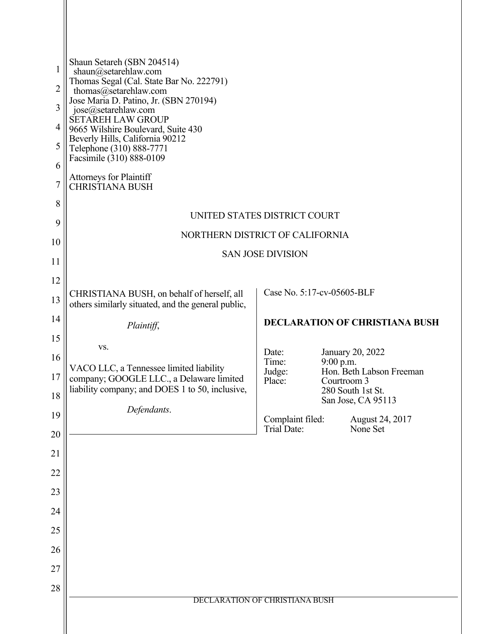| 1                   | Shaun Setareh (SBN 204514)                                                                        |                                        |                                       |  |
|---------------------|---------------------------------------------------------------------------------------------------|----------------------------------------|---------------------------------------|--|
|                     | shaun@setarehlaw.com<br>Thomas Segal (Cal. State Bar No. 222791)                                  |                                        |                                       |  |
| $\overline{2}$<br>3 | thomas@setarehlaw.com<br>Jose Maria D. Patino, Jr. (SBN 270194)                                   |                                        |                                       |  |
| 4                   | jose@setarehlaw.com<br><b>SETAREH LAW GROUP</b>                                                   |                                        |                                       |  |
| 5                   | 9665 Wilshire Boulevard, Suite 430<br>Beverly Hills, California 90212<br>Telephone (310) 888-7771 |                                        |                                       |  |
| 6                   | Facsimile (310) 888-0109                                                                          |                                        |                                       |  |
| $\overline{7}$      | <b>Attorneys for Plaintiff</b><br><b>CHRISTIANA BUSH</b>                                          |                                        |                                       |  |
| 8                   | UNITED STATES DISTRICT COURT                                                                      |                                        |                                       |  |
| 9                   | NORTHERN DISTRICT OF CALIFORNIA<br><b>SAN JOSE DIVISION</b>                                       |                                        |                                       |  |
| 10                  |                                                                                                   |                                        |                                       |  |
| 11                  |                                                                                                   |                                        |                                       |  |
| 12                  |                                                                                                   |                                        | Case No. 5:17-cv-05605-BLF            |  |
| 13                  | CHRISTIANA BUSH, on behalf of herself, all<br>others similarly situated, and the general public,  |                                        |                                       |  |
| 14                  | Plaintiff,                                                                                        |                                        | <b>DECLARATION OF CHRISTIANA BUSH</b> |  |
| 15                  | VS.                                                                                               | Date:                                  | January 20, 2022                      |  |
| 16                  | VACO LLC, a Tennessee limited liability                                                           | Time:<br>Judge:                        | 9:00 p.m.<br>Hon. Beth Labson Freeman |  |
| 17                  | company; GOOGLE LLC., a Delaware limited<br>liability company; and DOES 1 to 50, inclusive,       | Place:                                 | Courtroom 3<br>280 South 1st St.      |  |
| 18                  | Defendants.                                                                                       |                                        | San Jose, CA 95113                    |  |
| 19<br>20            |                                                                                                   | Complaint filed:<br><b>Trial Date:</b> | August 24, 2017<br>None Set           |  |
| 21                  |                                                                                                   |                                        |                                       |  |
| 22                  |                                                                                                   |                                        |                                       |  |
| 23                  |                                                                                                   |                                        |                                       |  |
| 24                  |                                                                                                   |                                        |                                       |  |
| 25                  |                                                                                                   |                                        |                                       |  |
| 26                  |                                                                                                   |                                        |                                       |  |
| 27                  |                                                                                                   |                                        |                                       |  |
| 28                  |                                                                                                   |                                        |                                       |  |
|                     | DECLARATION OF CHRISTIANA BUSH                                                                    |                                        |                                       |  |
|                     |                                                                                                   |                                        |                                       |  |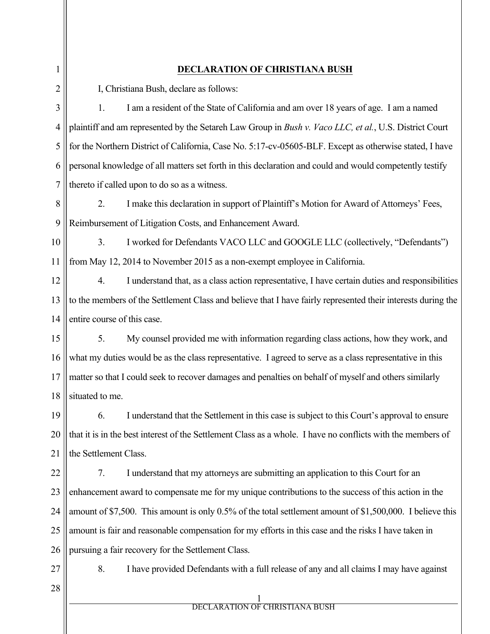1 2 3 4 5 6 7 8 9 10 11 12 13 14 15 16 17 18 19 20 21 22 23 24 25 26 27 28 1 **DECLARATION OF CHRISTIANA BUSH** I, Christiana Bush, declare as follows: 1. I am a resident of the State of California and am over 18 years of age. I am a named plaintiff and am represented by the Setareh Law Group in *Bush v. Vaco LLC, et al.*, U.S. District Court for the Northern District of California, Case No. 5:17-cv-05605-BLF. Except as otherwise stated, I have personal knowledge of all matters set forth in this declaration and could and would competently testify thereto if called upon to do so as a witness. 2. I make this declaration in support of Plaintiff's Motion for Award of Attorneys' Fees, Reimbursement of Litigation Costs, and Enhancement Award. 3. I worked for Defendants VACO LLC and GOOGLE LLC (collectively, "Defendants") from May 12, 2014 to November 2015 as a non-exempt employee in California. 4. I understand that, as a class action representative, I have certain duties and responsibilities to the members of the Settlement Class and believe that I have fairly represented their interests during the entire course of this case. 5. My counsel provided me with information regarding class actions, how they work, and what my duties would be as the class representative. I agreed to serve as a class representative in this matter so that I could seek to recover damages and penalties on behalf of myself and others similarly situated to me. 6. I understand that the Settlement in this case is subject to this Court's approval to ensure that it is in the best interest of the Settlement Class as a whole. I have no conflicts with the members of the Settlement Class. 7. I understand that my attorneys are submitting an application to this Court for an enhancement award to compensate me for my unique contributions to the success of this action in the amount of \$7,500. This amount is only 0.5% of the total settlement amount of \$1,500,000. I believe this amount is fair and reasonable compensation for my efforts in this case and the risks I have taken in pursuing a fair recovery for the Settlement Class. 8. I have provided Defendants with a full release of any and all claims I may have against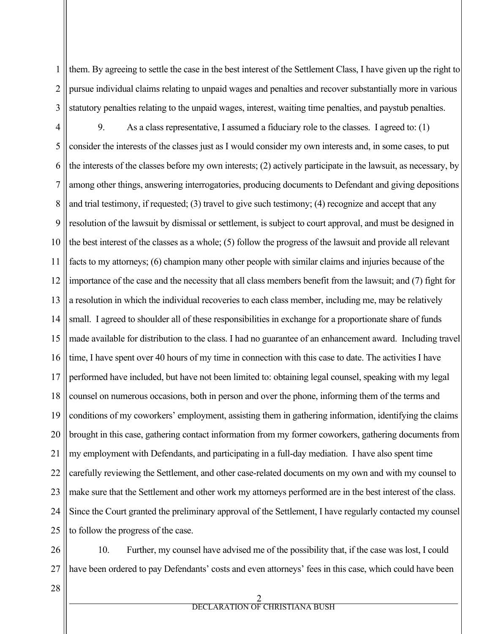1 2 3 them. By agreeing to settle the case in the best interest of the Settlement Class, I have given up the right to pursue individual claims relating to unpaid wages and penalties and recover substantially more in various statutory penalties relating to the unpaid wages, interest, waiting time penalties, and paystub penalties.

4 5 6 7 8 9 10 11 12 13 14 15 16 17 18 19 20 21 22 23 24 25 9. As a class representative, I assumed a fiduciary role to the classes. I agreed to: (1) consider the interests of the classes just as I would consider my own interests and, in some cases, to put the interests of the classes before my own interests; (2) actively participate in the lawsuit, as necessary, by among other things, answering interrogatories, producing documents to Defendant and giving depositions and trial testimony, if requested; (3) travel to give such testimony; (4) recognize and accept that any resolution of the lawsuit by dismissal or settlement, is subject to court approval, and must be designed in the best interest of the classes as a whole; (5) follow the progress of the lawsuit and provide all relevant facts to my attorneys; (6) champion many other people with similar claims and injuries because of the importance of the case and the necessity that all class members benefit from the lawsuit; and (7) fight for a resolution in which the individual recoveries to each class member, including me, may be relatively small. I agreed to shoulder all of these responsibilities in exchange for a proportionate share of funds made available for distribution to the class. I had no guarantee of an enhancement award. Including travel time, I have spent over 40 hours of my time in connection with this case to date. The activities I have performed have included, but have not been limited to: obtaining legal counsel, speaking with my legal counsel on numerous occasions, both in person and over the phone, informing them of the terms and conditions of my coworkers' employment, assisting them in gathering information, identifying the claims brought in this case, gathering contact information from my former coworkers, gathering documents from my employment with Defendants, and participating in a full-day mediation. I have also spent time carefully reviewing the Settlement, and other case-related documents on my own and with my counsel to make sure that the Settlement and other work my attorneys performed are in the best interest of the class. Since the Court granted the preliminary approval of the Settlement, I have regularly contacted my counsel to follow the progress of the case.

26 27 10. Further, my counsel have advised me of the possibility that, if the case was lost, I could have been ordered to pay Defendants' costs and even attorneys' fees in this case, which could have been

28